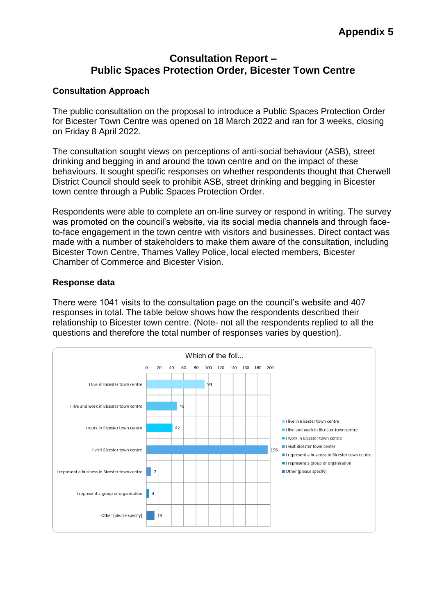# **Consultation Report – Public Spaces Protection Order, Bicester Town Centre**

#### **Consultation Approach**

The public consultation on the proposal to introduce a Public Spaces Protection Order for Bicester Town Centre was opened on 18 March 2022 and ran for 3 weeks, closing on Friday 8 April 2022.

The consultation sought views on perceptions of anti-social behaviour (ASB), street drinking and begging in and around the town centre and on the impact of these behaviours. It sought specific responses on whether respondents thought that Cherwell District Council should seek to prohibit ASB, street drinking and begging in Bicester town centre through a Public Spaces Protection Order.

Respondents were able to complete an on-line survey or respond in writing. The survey was promoted on the council's website, via its social media channels and through faceto-face engagement in the town centre with visitors and businesses. Direct contact was made with a number of stakeholders to make them aware of the consultation, including Bicester Town Centre, Thames Valley Police, local elected members, Bicester Chamber of Commerce and Bicester Vision.

#### **Response data**

There were 1041 visits to the consultation page on the council's website and 407 responses in total. The table below shows how the respondents described their relationship to Bicester town centre. (Note- not all the respondents replied to all the questions and therefore the total number of responses varies by question).

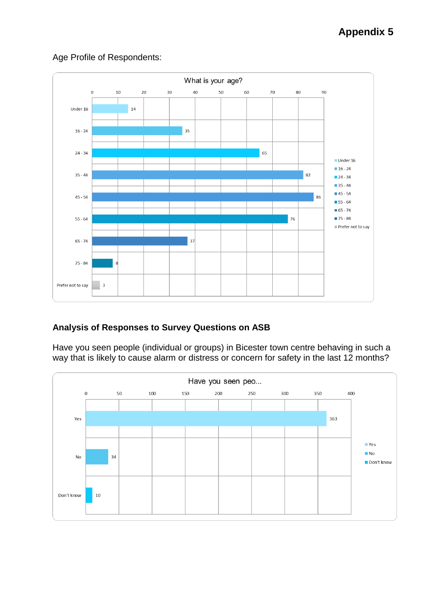# **Appendix 5**



## Age Profile of Respondents:

# **Analysis of Responses to Survey Questions on ASB**

Have you seen people (individual or groups) in Bicester town centre behaving in such a way that is likely to cause alarm or distress or concern for safety in the last 12 months?

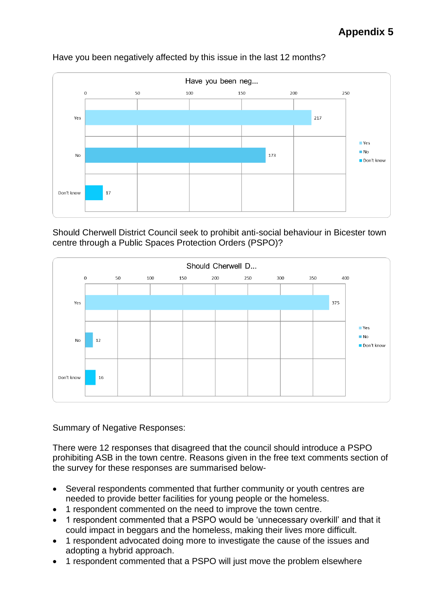

#### Have you been negatively affected by this issue in the last 12 months?

Should Cherwell District Council seek to prohibit anti-social behaviour in Bicester town centre through a Public Spaces Protection Orders (PSPO)?



Summary of Negative Responses:

There were 12 responses that disagreed that the council should introduce a PSPO prohibiting ASB in the town centre. Reasons given in the free text comments section of the survey for these responses are summarised below-

- Several respondents commented that further community or youth centres are needed to provide better facilities for young people or the homeless.
- 1 respondent commented on the need to improve the town centre.
- 1 respondent commented that a PSPO would be 'unnecessary overkill' and that it could impact in beggars and the homeless, making their lives more difficult.
- 1 respondent advocated doing more to investigate the cause of the issues and adopting a hybrid approach.
- 1 respondent commented that a PSPO will just move the problem elsewhere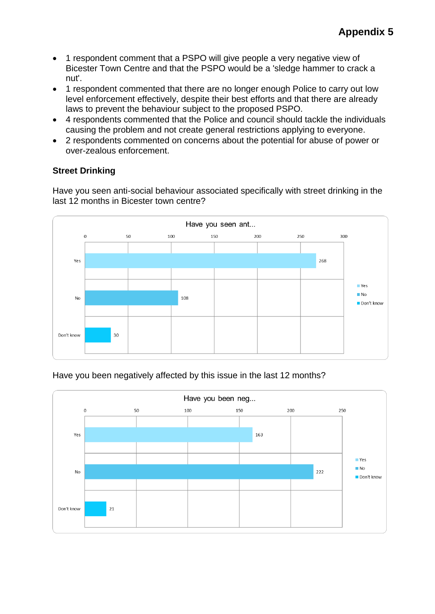- 1 respondent comment that a PSPO will give people a very negative view of Bicester Town Centre and that the PSPO would be a 'sledge hammer to crack a nut'.
- 1 respondent commented that there are no longer enough Police to carry out low level enforcement effectively, despite their best efforts and that there are already laws to prevent the behaviour subject to the proposed PSPO.
- 4 respondents commented that the Police and council should tackle the individuals causing the problem and not create general restrictions applying to everyone.
- 2 respondents commented on concerns about the potential for abuse of power or over-zealous enforcement.

# **Street Drinking**

Have you seen anti-social behaviour associated specifically with street drinking in the last 12 months in Bicester town centre?



#### Have you been negatively affected by this issue in the last 12 months?

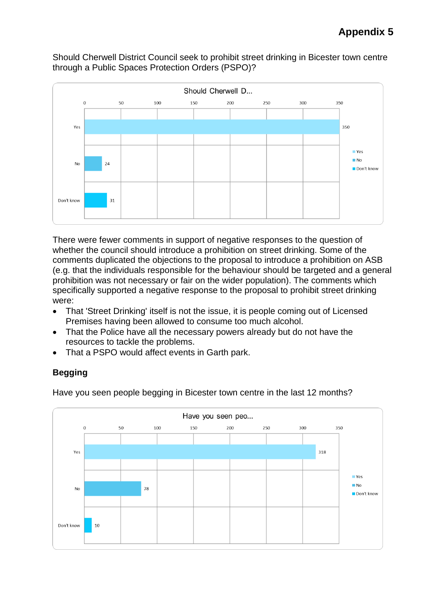#### Should Cherwell District Council seek to prohibit street drinking in Bicester town centre through a Public Spaces Protection Orders (PSPO)?



There were fewer comments in support of negative responses to the question of whether the council should introduce a prohibition on street drinking. Some of the comments duplicated the objections to the proposal to introduce a prohibition on ASB (e.g. that the individuals responsible for the behaviour should be targeted and a general prohibition was not necessary or fair on the wider population). The comments which specifically supported a negative response to the proposal to prohibit street drinking were:

- That 'Street Drinking' itself is not the issue, it is people coming out of Licensed Premises having been allowed to consume too much alcohol.
- That the Police have all the necessary powers already but do not have the resources to tackle the problems.
- That a PSPO would affect events in Garth park.

# **Begging**

Have you seen people begging in Bicester town centre in the last 12 months?